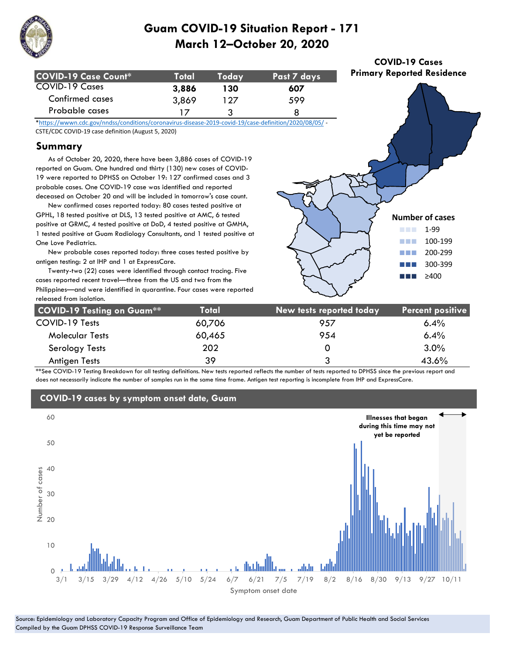

| COVID-19 Case Count* | Totall | Todav | Past 7 days |
|----------------------|--------|-------|-------------|
| COVID-19 Cases       | 3,886  | 130   | 607         |
| Confirmed cases      | 3,869  | 127   | 599         |
| Probable cases       |        |       |             |

**COVID-19 Cases Primary Reported Residence**

\*https://wwwn.cdc.gov/nndss/conditions/coronavirus-disease-2019-covid-19/case-definition/2020/08/05/ - CSTE/CDC COVID-19 case definition (August 5, 2020)

### **Summary**

 As of October 20, 2020, there have been 3,886 cases of COVID-19 reported on Guam. One hundred and thirty (130) new cases of COVID-19 were reported to DPHSS on October 19: 127 confirmed cases and 3 probable cases. One COVID-19 case was identified and reported deceased on October 20 and will be included in tomorrow's case count.

 New confirmed cases reported today: 80 cases tested positive at GPHL, 18 tested positive at DLS, 13 tested positive at AMC, 6 tested positive at GRMC, 4 tested positive at DoD, 4 tested positive at GMHA, 1 tested positive at Guam Radiology Consultants, and 1 tested positive at One Love Pediatrics.

 New probable cases reported today: three cases tested positive by antigen testing: 2 at IHP and 1 at ExpressCare.

 Twenty-two (22) cases were identified through contact tracing. Five cases reported recent travel—three from the US and two from the Philippines—and were identified in quarantine. Four cases were reported released from isolation.



| <b>COVID-19 Testing on Guam**</b> | Total  | New tests reported today | <b>Percent positive</b> |
|-----------------------------------|--------|--------------------------|-------------------------|
| COVID-19 Tests                    | 60,706 | 957                      | $6.4\%$                 |
| <b>Molecular Tests</b>            | 60,465 | 954                      | 6.4%                    |
| Serology Tests                    | 202    | Ο                        | 3.0%                    |
| Antigen Tests                     | 39     | 3                        | 43.6%                   |

\*\*See COVID-19 Testing Breakdown for all testing definitions. New tests reported reflects the number of tests reported to DPHSS since the previous report and does not necessarily indicate the number of samples run in the same time frame. Antigen test reporting is incomplete from IHP and ExpressCare.



#### Source: Epidemiology and Laboratory Capacity Program and Office of Epidemiology and Research, Guam Department of Public Health and Social Services Compiled by the Guam DPHSS COVID-19 Response Surveillance Team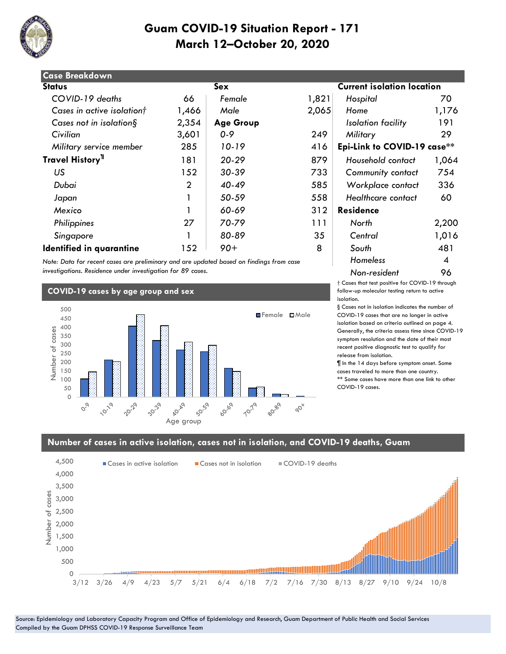

| <b>Case Breakdown</b>        |       |                  |       |                                   |       |  |
|------------------------------|-------|------------------|-------|-----------------------------------|-------|--|
| <b>Status</b>                | Sex   |                  |       | <b>Current isolation location</b> |       |  |
| COVID-19 deaths              | 66    | Female           | 1,821 | Hospital                          | 70    |  |
| Cases in active isolationt   | 1,466 | Male             | 2,065 | Home                              | 1,176 |  |
| Cases not in isolation $\S$  | 2,354 | <b>Age Group</b> |       | Isolation facility                | 191   |  |
| Civilian                     | 3,601 | $0 - 9$          | 249   | Military                          | 29    |  |
| Military service member      | 285   | 10-19            | 416   | Epi-Link to COVID-19 case**       |       |  |
| Travel History <sup>11</sup> | 181   | $20 - 29$        | 879   | Household contact                 | 1,064 |  |
| US                           | 152   | 30-39            | 733   | Community contact                 | 754   |  |
| Dubai                        | 2     | $40 - 49$        | 585   | Workplace contact                 | 336   |  |
| Japan                        |       | 50-59            | 558   | Healthcare contact                | 60    |  |
| Mexico                       |       | 60-69            | 312   | <b>Residence</b>                  |       |  |
| Philippines                  | 27    | 70-79            | 111   | North                             | 2,200 |  |
| Singapore                    |       | 80-89            | 35    | Central                           | 1,016 |  |
| Identified in quarantine     | 152   | $90+$            | 8     | South                             | 481   |  |

*Note: Data for recent cases are preliminary and are updated based on findings from case investigations. Residence under investigation for 89 cases.*

#### **COVID-19 cases by age group and sex** 500 **E**Female **EMale** 450 400 Number of cases Number of cases 350 300 250 200 150 100 50 0 30-39 10-19 20.29 Age group **b**0.69 **10:79** 80-89  $\varphi^{\vee}$  $O^{Q}$

# **isolation location**  *Military service member* 285 *10-19* 416 **Epi-Link to COVID-19 case\*\*** 181 *20-29* 879 *Household contact* 1,064  *US* 152 *30-39* 733 *Community contact* 754  *Dubai* 2 *40-49* 585 *Workplace contact* 336 *Homeless* 4 *Non-resident* 96

† Cases that test positive for COVID-19 through follow-up molecular testing return to active isolation.

§ Cases not in isolation indicates the number of COVID-19 cases that are no longer in active isolation based on criteria outlined on page 4. Generally, the criteria assess time since COVID-19 symptom resolution and the date of their most recent positive diagnostic test to qualify for release from isolation.

¶ In the 14 days before symptom onset. Some cases traveled to more than one country. \*\* Some cases have more than one link to other COVID-19 cases.

#### **Number of cases in active isolation, cases not in isolation, and COVID-19 deaths, Guam**



Source: Epidemiology and Laboratory Capacity Program and Office of Epidemiology and Research, Guam Department of Public Health and Social Services Compiled by the Guam DPHSS COVID-19 Response Surveillance Team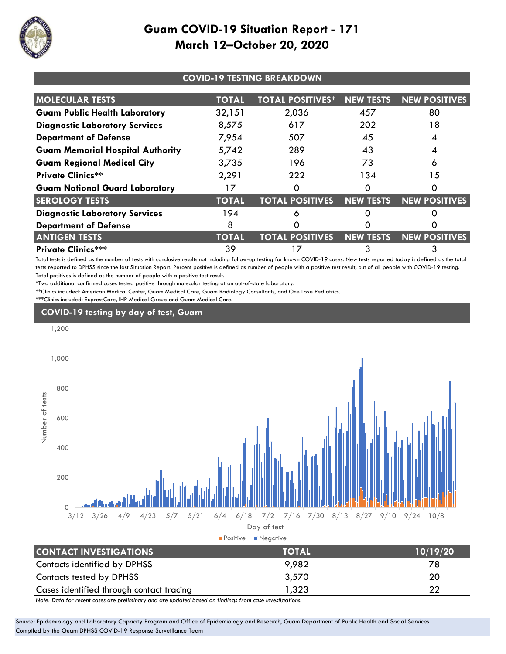

| <b>COVID-19 TESTING BREAKDOWN</b>       |              |                         |                  |                      |
|-----------------------------------------|--------------|-------------------------|------------------|----------------------|
| <b>MOLECULAR TESTS</b>                  | <b>TOTAL</b> | <b>TOTAL POSITIVES*</b> | <b>NEW TESTS</b> | <b>NEW POSITIVES</b> |
| <b>Guam Public Health Laboratory</b>    | 32,151       | 2,036                   | 457              | 80                   |
| <b>Diagnostic Laboratory Services</b>   | 8,575        | 617                     | 202              | 18                   |
| <b>Department of Defense</b>            | 7,954        | 507                     | 45               |                      |
| <b>Guam Memorial Hospital Authority</b> | 5,742        | 289                     | 43               |                      |
| <b>Guam Regional Medical City</b>       | 3,735        | 196                     | 73               | 6                    |
| <b>Private Clinics**</b>                | 2,291        | 222                     | 134              | 15                   |
| <b>Guam National Guard Laboratory</b>   | 17           |                         | Ω                | O                    |
| <b>SEROLOGY TESTS</b>                   | <b>TOTAL</b> | <b>TOTAL POSITIVES</b>  | <b>NEW TESTS</b> | <b>NEW POSITIVES</b> |
| <b>Diagnostic Laboratory Services</b>   | 194          | δ                       |                  |                      |
| <b>Department of Defense</b>            | 8            |                         |                  |                      |
| <b>ANTIGEN TESTS</b>                    | <b>TOTAL</b> | <b>TOTAL POSITIVES</b>  | <b>NEW TESTS</b> | <b>NEW POSITIVES</b> |
| <b>Private Clinics***</b>               | 39           | 17                      |                  |                      |

Total tests is defined as the number of tests with conclusive results not including follow-up testing for known COVID-19 cases. New tests reported today is defined as the total tests reported to DPHSS since the last Situation Report. Percent positive is defined as number of people with a positive test result, out of all people with COVID-19 testing. Total positives is defined as the number of people with a positive test result.

\*Two additional confirmed cases tested positive through molecular testing at an out-of-state laboratory.

\*\*Clinics included: American Medical Center, Guam Medical Care, Guam Radiology Consultants, and One Love Pediatrics.

\*\*\*Clinics included: ExpressCare, IHP Medical Group and Guam Medical Care.

## **COVID-19 testing by day of test, Guam**



|                                          | ------- | --------- |  |  |
|------------------------------------------|---------|-----------|--|--|
| Contacts identified by DPHSS             | 9,982   | 78        |  |  |
| Contacts tested by DPHSS                 | 3,570   | 20        |  |  |
| Cases identified through contact tracing | 323, ا  |           |  |  |
| .                                        |         |           |  |  |

*Note: Data for recent cases are preliminary and are updated based on findings from case investigations.*

Source: Epidemiology and Laboratory Capacity Program and Office of Epidemiology and Research, Guam Department of Public Health and Social Services Compiled by the Guam DPHSS COVID-19 Response Surveillance Team